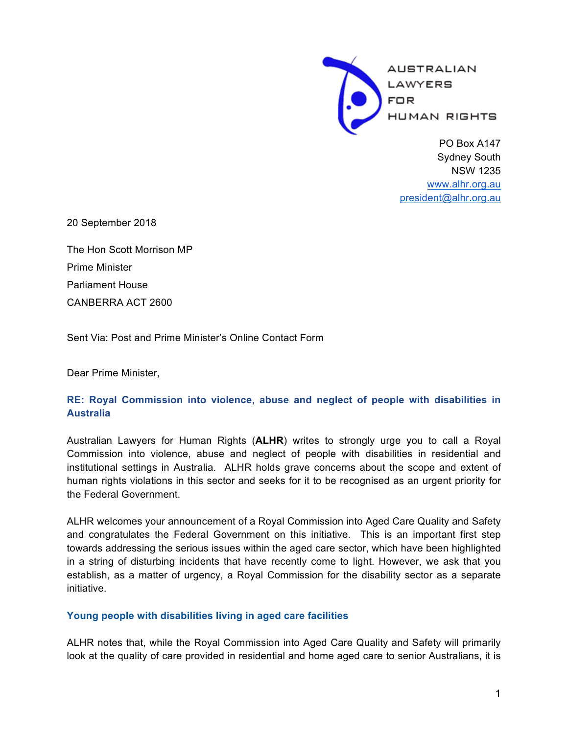

PO Box A147 Sydney South NSW 1235 www.alhr.org.au president@alhr.org.au

20 September 2018

The Hon Scott Morrison MP Prime Minister Parliament House CANBERRA ACT 2600

Sent Via: Post and Prime Minister's Online Contact Form

Dear Prime Minister,

## **RE: Royal Commission into violence, abuse and neglect of people with disabilities in Australia**

Australian Lawyers for Human Rights (**ALHR**) writes to strongly urge you to call a Royal Commission into violence, abuse and neglect of people with disabilities in residential and institutional settings in Australia. ALHR holds grave concerns about the scope and extent of human rights violations in this sector and seeks for it to be recognised as an urgent priority for the Federal Government.

ALHR welcomes your announcement of a Royal Commission into Aged Care Quality and Safety and congratulates the Federal Government on this initiative. This is an important first step towards addressing the serious issues within the aged care sector, which have been highlighted in a string of disturbing incidents that have recently come to light. However, we ask that you establish, as a matter of urgency, a Royal Commission for the disability sector as a separate initiative.

#### **Young people with disabilities living in aged care facilities**

ALHR notes that, while the Royal Commission into Aged Care Quality and Safety will primarily look at the quality of care provided in residential and home aged care to senior Australians, it is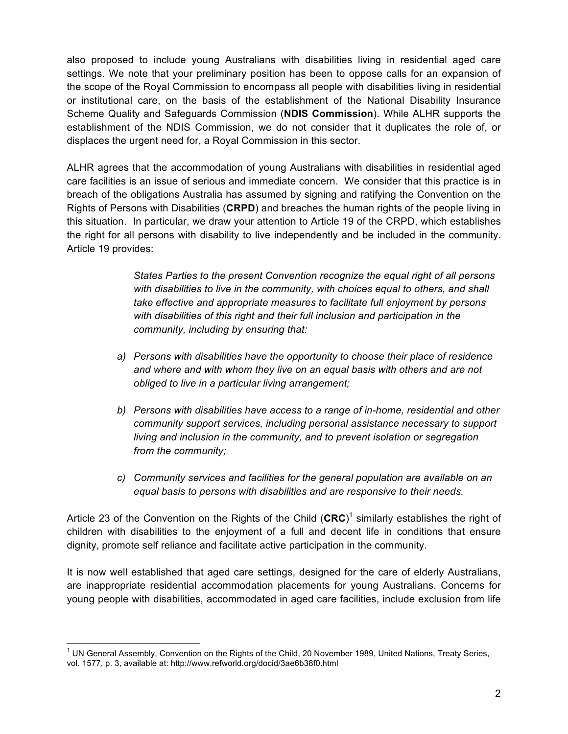also proposed to include young Australians with disabilities living in residential aged care settings. We note that your preliminary position has been to oppose calls for an expansion of the scope of the Royal Commission to encompass all people with disabilities living in residential or institutional care, on the basis of the establishment of the National Disability Insurance Scheme Quality and Safeguards Commission (**NDIS Commission**). While ALHR supports the establishment of the NDIS Commission, we do not consider that it duplicates the role of, or displaces the urgent need for, a Royal Commission in this sector.

ALHR agrees that the accommodation of young Australians with disabilities in residential aged care facilities is an issue of serious and immediate concern. We consider that this practice is in breach of the obligations Australia has assumed by signing and ratifying the Convention on the Rights of Persons with Disabilities (**CRPD**) and breaches the human rights of the people living in this situation. In particular, we draw your attention to Article 19 of the CRPD, which establishes the right for all persons with disability to live independently and be included in the community. Article 19 provides:

> *States Parties to the present Convention recognize the equal right of all persons with disabilities to live in the community, with choices equal to others, and shall take effective and appropriate measures to facilitate full enjoyment by persons with disabilities of this right and their full inclusion and participation in the community, including by ensuring that:*

- *a) Persons with disabilities have the opportunity to choose their place of residence and where and with whom they live on an equal basis with others and are not obliged to live in a particular living arrangement;*
- *b) Persons with disabilities have access to a range of in-home, residential and other community support services, including personal assistance necessary to support living and inclusion in the community, and to prevent isolation or segregation from the community;*
- *c) Community services and facilities for the general population are available on an equal basis to persons with disabilities and are responsive to their needs.*

Article 23 of the Convention on the Rights of the Child (**CRC**) <sup>1</sup> similarly establishes the right of children with disabilities to the enjoyment of a full and decent life in conditions that ensure dignity, promote self reliance and facilitate active participation in the community.

It is now well established that aged care settings, designed for the care of elderly Australians, are inappropriate residential accommodation placements for young Australians. Concerns for young people with disabilities, accommodated in aged care facilities, include exclusion from life

<sup>&</sup>lt;sup>1</sup> UN General Assembly, Convention on the Rights of the Child, 20 November 1989, United Nations, Treaty Series, vol. 1577, p. 3, available at: http://www.refworld.org/docid/3ae6b38f0.html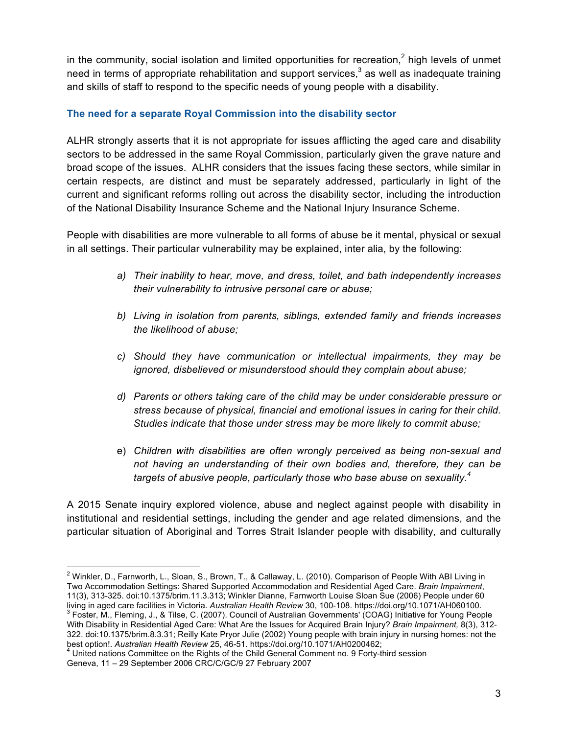in the community, social isolation and limited opportunities for recreation,<sup>2</sup> high levels of unmet need in terms of appropriate rehabilitation and support services, $3$  as well as inadequate training and skills of staff to respond to the specific needs of young people with a disability.

### **The need for a separate Royal Commission into the disability sector**

ALHR strongly asserts that it is not appropriate for issues afflicting the aged care and disability sectors to be addressed in the same Royal Commission, particularly given the grave nature and broad scope of the issues. ALHR considers that the issues facing these sectors, while similar in certain respects, are distinct and must be separately addressed, particularly in light of the current and significant reforms rolling out across the disability sector, including the introduction of the National Disability Insurance Scheme and the National Injury Insurance Scheme.

People with disabilities are more vulnerable to all forms of abuse be it mental, physical or sexual in all settings. Their particular vulnerability may be explained, inter alia, by the following:

- *a) Their inability to hear, move, and dress, toilet, and bath independently increases their vulnerability to intrusive personal care or abuse;*
- *b) Living in isolation from parents, siblings, extended family and friends increases the likelihood of abuse;*
- *c) Should they have communication or intellectual impairments, they may be ignored, disbelieved or misunderstood should they complain about abuse;*
- *d) Parents or others taking care of the child may be under considerable pressure or stress because of physical, financial and emotional issues in caring for their child. Studies indicate that those under stress may be more likely to commit abuse;*
- e) *Children with disabilities are often wrongly perceived as being non-sexual and not having an understanding of their own bodies and, therefore, they can be targets of abusive people, particularly those who base abuse on sexuality.<sup>4</sup>*

A 2015 Senate inquiry explored violence, abuse and neglect against people with disability in institutional and residential settings, including the gender and age related dimensions, and the particular situation of Aboriginal and Torres Strait Islander people with disability, and culturally

<sup>&</sup>lt;sup>2</sup> Winkler, D., Farnworth, L., Sloan, S., Brown, T., & Callaway, L. (2010). Comparison of People With ABI Living in Two Accommodation Settings: Shared Supported Accommodation and Residential Aged Care. *Brain Impairment*, 11(3), 313-325. doi:10.1375/brim.11.3.313; Winkler Dianne, Farnworth Louise Sloan Sue (2006) People under 60 living in aged care facilities in Victoria. Australian Health Review 30, 100-108. https://doi.org/10.1071/AH060100.<br><sup>3</sup> Foster, M., Fleming, J., & Tilse, C. (2007). Council of Australian Governments' (COAG) Initiative for With Disability in Residential Aged Care: What Are the Issues for Acquired Brain Injury? *Brain Impairment,* 8(3), 312- 322. doi:10.1375/brim.8.3.31; Reilly Kate Pryor Julie (2002) Young people with brain injury in nursing homes: not the

best option!. *Australian Health Review* 25, 46-51. https://doi.org/10.1071/AH0200462;<br><sup>4</sup> United nations Committee on the Rights of the Child General Comment no. 9 Forty-third session

Geneva, 11 – 29 September 2006 CRC/C/GC/9 27 February 2007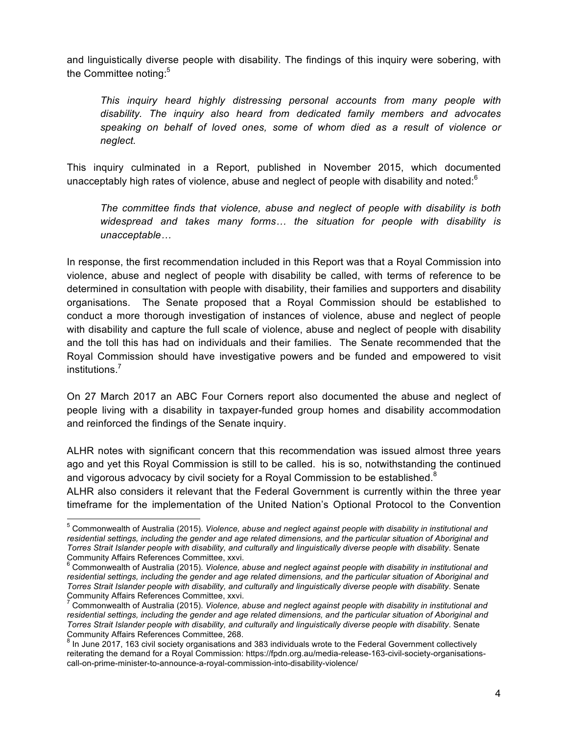and linguistically diverse people with disability. The findings of this inquiry were sobering, with the Committee noting:<sup>5</sup>

*This inquiry heard highly distressing personal accounts from many people with disability. The inquiry also heard from dedicated family members and advocates speaking on behalf of loved ones, some of whom died as a result of violence or neglect.*

This inquiry culminated in a Report, published in November 2015, which documented unacceptably high rates of violence, abuse and neglect of people with disability and noted: $6^{\circ}$ 

*The committee finds that violence, abuse and neglect of people with disability is both widespread and takes many forms… the situation for people with disability is unacceptable…*

In response, the first recommendation included in this Report was that a Royal Commission into violence, abuse and neglect of people with disability be called, with terms of reference to be determined in consultation with people with disability, their families and supporters and disability organisations. The Senate proposed that a Royal Commission should be established to conduct a more thorough investigation of instances of violence, abuse and neglect of people with disability and capture the full scale of violence, abuse and neglect of people with disability and the toll this has had on individuals and their families. The Senate recommended that the Royal Commission should have investigative powers and be funded and empowered to visit institutions.7

On 27 March 2017 an ABC Four Corners report also documented the abuse and neglect of people living with a disability in taxpayer-funded group homes and disability accommodation and reinforced the findings of the Senate inquiry.

ALHR notes with significant concern that this recommendation was issued almost three years ago and yet this Royal Commission is still to be called. his is so, notwithstanding the continued and vigorous advocacy by civil society for a Royal Commission to be established.<sup>8</sup>

ALHR also considers it relevant that the Federal Government is currently within the three year timeframe for the implementation of the United Nation's Optional Protocol to the Convention

 <sup>5</sup> Commonwealth of Australia (2015). *Violence, abuse and neglect against people with disability in institutional and residential settings, including the gender and age related dimensions, and the particular situation of Aboriginal and Torres Strait Islander people with disability, and culturally and linguistically diverse people with disability. Senate*<br>Community Affairs References Committee, xxvi.<br>
<sup>8</sup> Commanus 1th of April 1994 1994 1995 1999 1999 19

Commonwealth of Australia (2015). *Violence, abuse and neglect against people with disability in institutional and residential settings, including the gender and age related dimensions, and the particular situation of Aboriginal and Torres Strait Islander people with disability, and culturally and linguistically diverse people with disability. Senate*<br>Community Affairs References Committee, xxvi.

Commonwealth of Australia (2015). *Violence, abuse and neglect against people with disability in institutional and residential settings, including the gender and age related dimensions, and the particular situation of Aboriginal and Torres Strait Islander people with disability, and culturally and linguistically diverse people with disability*. Senate Community Affairs References Committee, 268.<br><sup>8</sup> In June 2017, 163 civil society organisations and 383 individuals wrote to the Federal Government collectively

reiterating the demand for a Royal Commission: https://fpdn.org.au/media-release-163-civil-society-organisationscall-on-prime-minister-to-announce-a-royal-commission-into-disability-violence/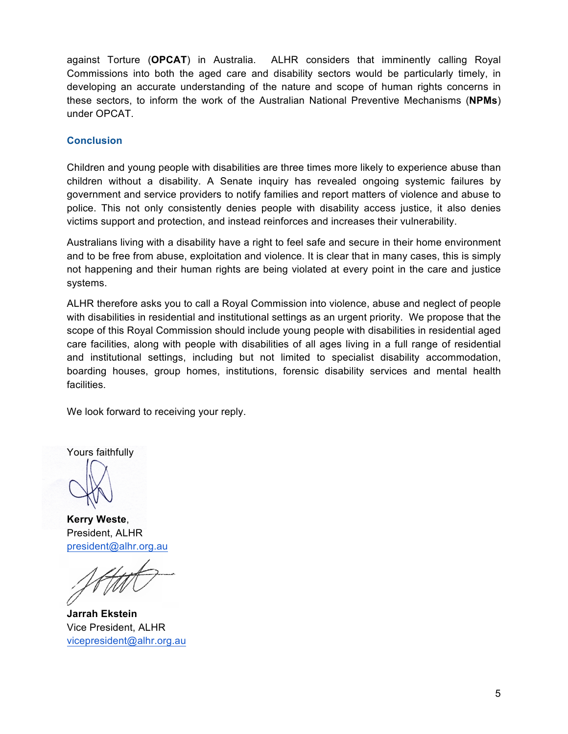against Torture (**OPCAT**) in Australia. ALHR considers that imminently calling Royal Commissions into both the aged care and disability sectors would be particularly timely, in developing an accurate understanding of the nature and scope of human rights concerns in these sectors, to inform the work of the Australian National Preventive Mechanisms (**NPMs**) under OPCAT.

#### **Conclusion**

Children and young people with disabilities are three times more likely to experience abuse than children without a disability. A Senate inquiry has revealed ongoing systemic failures by government and service providers to notify families and report matters of violence and abuse to police. This not only consistently denies people with disability access justice, it also denies victims support and protection, and instead reinforces and increases their vulnerability.

Australians living with a disability have a right to feel safe and secure in their home environment and to be free from abuse, exploitation and violence. It is clear that in many cases, this is simply not happening and their human rights are being violated at every point in the care and justice systems.

ALHR therefore asks you to call a Royal Commission into violence, abuse and neglect of people with disabilities in residential and institutional settings as an urgent priority. We propose that the scope of this Royal Commission should include young people with disabilities in residential aged care facilities, along with people with disabilities of all ages living in a full range of residential and institutional settings, including but not limited to specialist disability accommodation, boarding houses, group homes, institutions, forensic disability services and mental health facilities.

We look forward to receiving your reply.

Yours faithfully

**Kerry Weste**, President, ALHR president@alhr.org.au

**Jarrah Ekstein** Vice President, ALHR vicepresident@alhr.org.au